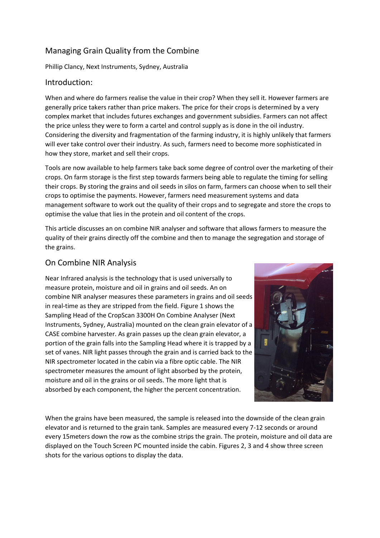# Managing Grain Quality from the Combine

Phillip Clancy, Next Instruments, Sydney, Australia

### Introduction:

When and where do farmers realise the value in their crop? When they sell it. However farmers are generally price takers rather than price makers. The price for their crops is determined by a very complex market that includes futures exchanges and government subsidies. Farmers can not affect the price unless they were to form a cartel and control supply as is done in the oil industry. Considering the diversity and fragmentation of the farming industry, it is highly unlikely that farmers will ever take control over their industry. As such, farmers need to become more sophisticated in how they store, market and sell their crops.

Tools are now available to help farmers take back some degree of control over the marketing of their crops. On farm storage is the first step towards farmers being able to regulate the timing for selling their crops. By storing the grains and oil seeds in silos on farm, farmers can choose when to sell their crops to optimise the payments. However, farmers need measurement systems and data management software to work out the quality of their crops and to segregate and store the crops to optimise the value that lies in the protein and oil content of the crops.

This article discusses an on combine NIR analyser and software that allows farmers to measure the quality of their grains directly off the combine and then to manage the segregation and storage of the grains.

## On Combine NIR Analysis

Near Infrared analysis is the technology that is used universally to measure protein, moisture and oil in grains and oil seeds. An on combine NIR analyser measures these parameters in grains and oil seeds in real-time as they are stripped from the field. Figure 1 shows the Sampling Head of the CropScan 3300H On Combine Analyser (Next Instruments, Sydney, Australia) mounted on the clean grain elevator of a CASE combine harvester. As grain passes up the clean grain elevator, a portion of the grain falls into the Sampling Head where it is trapped by a set of vanes. NIR light passes through the grain and is carried back to the NIR spectrometer located in the cabin via a fibre optic cable. The NIR spectrometer measures the amount of light absorbed by the protein, moisture and oil in the grains or oil seeds. The more light that is absorbed by each component, the higher the percent concentration.



When the grains have been measured, the sample is released into the downside of the clean grain elevator and is returned to the grain tank. Samples are measured every 7-12 seconds or around every 15meters down the row as the combine strips the grain. The protein, moisture and oil data are displayed on the Touch Screen PC mounted inside the cabin. Figures 2, 3 and 4 show three screen shots for the various options to display the data.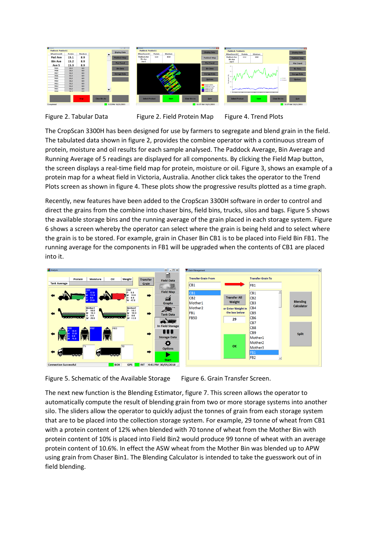



The CropScan 3300H has been designed for use by farmers to segregate and blend grain in the field. The tabulated data shown in figure 2, provides the combine operator with a continuous stream of protein, moisture and oil results for each sample analysed. The Paddock Average, Bin Average and Running Average of 5 readings are displayed for all components. By clicking the Field Map button, the screen displays a real-time field map for protein, moisture or oil. Figure 3, shows an example of a protein map for a wheat field in Victoria, Australia. Another click takes the operator to the Trend Plots screen as shown in figure 4. These plots show the progressive results plotted as a time graph.

Recently, new features have been added to the CropScan 3300H software in order to control and direct the grains from the combine into chaser bins, field bins, trucks, silos and bags. Figure 5 shows the available storage bins and the running average of the grain placed in each storage system. Figure 6 shows a screen whereby the operator can select where the grain is being held and to select where the grain is to be stored. For example, grain in Chaser Bin CB1 is to be placed into Field Bin FB1. The running average for the components in FB1 will be upgraded when the contents of CB1 are placed into it.





The next new function is the Blending Estimator, figure 7. This screen allows the operator to automatically compute the result of blending grain from two or more storage systems into another silo. The sliders allow the operator to quickly adjust the tonnes of grain from each storage system that are to be placed into the collection storage system. For example, 29 tonne of wheat from CB1 with a protein content of 12% when blended with 70 tonne of wheat from the Mother Bin with protein content of 10% is placed into Field Bin2 would produce 99 tonne of wheat with an average protein content of 10.6%. In effect the ASW wheat from the Mother Bin was blended up to APW using grain from Chaser Bin1. The Blending Calculator is intended to take the guesswork out of in field blending.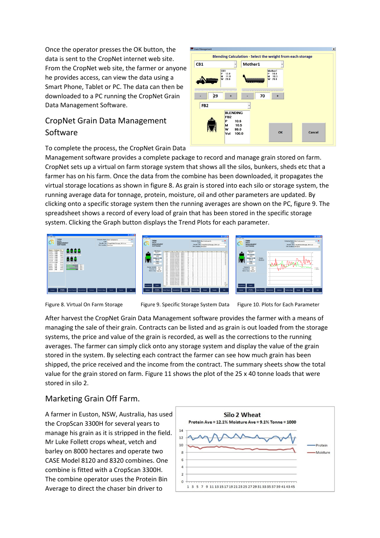Once the operator presses the OK button, the data is sent to the CropNet internet web site. From the CropNet web site, the farmer or anyone he provides access, can view the data using a Smart Phone, Tablet or PC. The data can then be downloaded to a PC running the CropNet Grain Data Management Software.

# CropNet Grain Data Management Software

To complete the process, the CropNet Grain Data

Management software provides a complete package to record and manage grain stored on farm. CropNet sets up a virtual on farm storage system that shows all the silos, bunkers, sheds etc that a farmer has on his farm. Once the data from the combine has been downloaded, it propagates the virtual storage locations as shown in figure 8. As grain is stored into each silo or storage system, the running average data for tonnage, protein, moisture, oil and other parameters are updated. By clicking onto a specific storage system then the running averages are shown on the PC, figure 9. The spreadsheet shows a record of every load of grain that has been stored in the specific storage system. Clicking the Graph button displays the Trend Plots for each parameter.

CB1

29

FB<sub>2</sub>





Blending Calculation - Select the weight from each storage

70

OK

Cancel

Mother1

 $\ddot{\phantom{0}}$ 

BLENDING<br>FB2  $10.6$ 

**M**<br>W  $10.5$ 99.0

lvat 100.0

Figure 8. Virtual On Farm Storage Figure 9. Specific Storage System Data Figure 10. Plots for Each Parameter

After harvest the CropNet Grain Data Management software provides the farmer with a means of managing the sale of their grain. Contracts can be listed and as grain is out loaded from the storage systems, the price and value of the grain is recorded, as well as the corrections to the running averages. The farmer can simply click onto any storage system and display the value of the grain stored in the system. By selecting each contract the farmer can see how much grain has been shipped, the price received and the income from the contract. The summary sheets show the total value for the grain stored on farm. Figure 11 shows the plot of the 25 x 40 tonne loads that were stored in silo 2.

## Marketing Grain Off Farm.

A farmer in Euston, NSW, Australia, has used the CropScan 3300H for several years to manage his grain as it is stripped in the field. Mr Luke Follett crops wheat, vetch and barley on 8000 hectares and operate two CASE Model 8120 and 8320 combines. One combine is fitted with a CropScan 3300H. The combine operator uses the Protein Bin Average to direct the chaser bin driver to